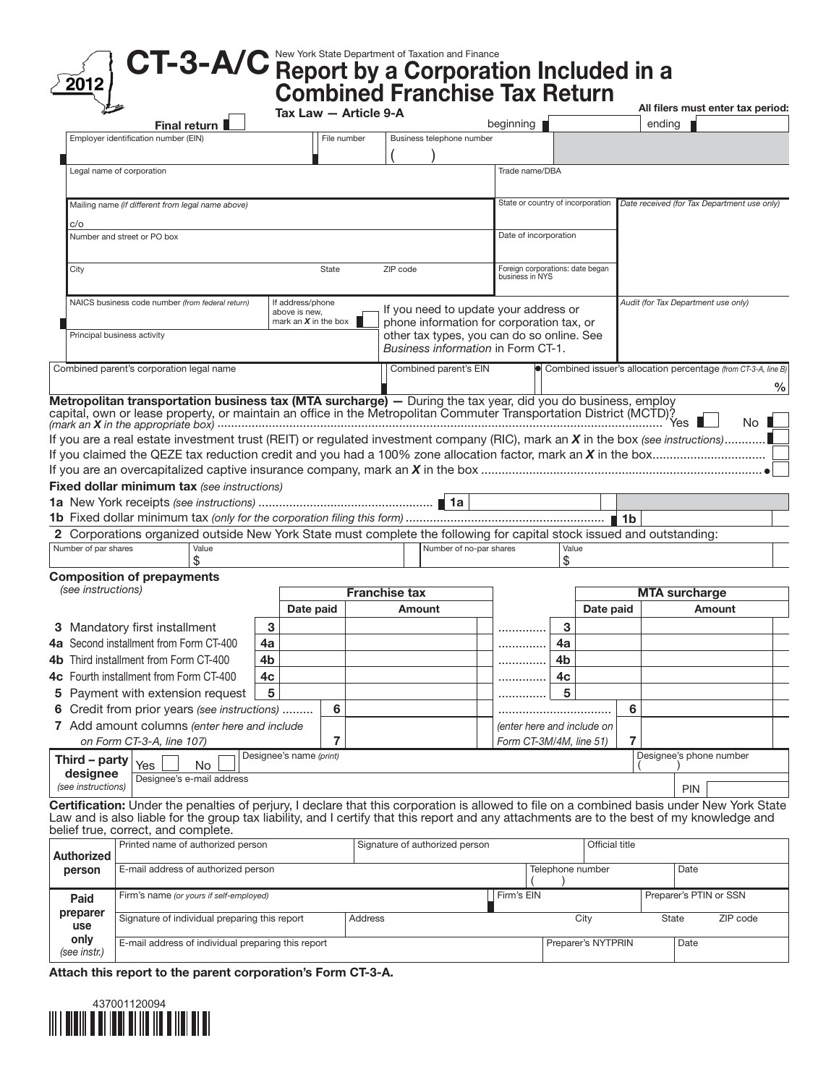## CT-3-A/C New York State Department of Taxation and Finance Report by a Corporation Included in a 2012 Combined Franchise Tax Return All filers must enter tax period: Tax Law — Article 9-A Final return **beginning** ending Employer identification number (EIN) File number Business telephone number  $\begin{pmatrix} 1 & 1 \\ 1 & 1 \end{pmatrix}$ Legal name of corporation Trade name/DBA State or country of incorporation Mailing name *(if different from legal name above) Date received (for Tax Department use only)* c/o Date of incorporation Number and street or PO box City **State ZIP** code Foreign corporations: date began business in NYS NAICS business code number *(from federal return)* **Audit (for Tax Department use only) Audit (for Tax Department use only)** If address/phone If you need to update your address or above is new, mark an *X* in the box phone information for corporation tax, or Principal business activity other tax types, you can do so online. See *Business information* in Form CT-1. Combined parent's corporation legal name Combined issuer's allocation percentage *(from CT-3-A, line B*) Combined issuer's allocation percentage *(from CT-3-A, line B*) % Metropolitan transportation business tax (MTA surcharge) - During the tax year, did you do business, employ capital, own or lease property, or maintain an office in the Metropolitan Commuter Transportation District (MCTD)? *(mark an X in the appropriate box)* .................................................................................................................................. Yes No If you are a real estate investment trust (REIT) or regulated investment company (RIC), mark an *X* in the box *(see instructions)*............ If you claimed the QEZE tax reduction credit and you had a 100% zone allocation factor, mark an *X* in the box................................. If you are an overcapitalized captive insurance company, mark an *X* in the box .................................................................................. Fixed dollar minimum tax *(see instructions)* 1a New York receipts *(see instructions)* ................................................... 1a 1b Fixed dollar minimum tax *(only for the corporation filing this form)* .......................................................... 1b 2 Corporations organized outside New York State must complete the following for capital stock issued and outstanding: Number of par shares Value Value Value Value Number of no-par shares Value  $\sim$  5  $\sim$  5  $\sim$  5  $\sim$  5  $\sim$  5  $\sim$  5  $\sim$  5  $\sim$  5  $\sim$  5  $\sim$  5  $\sim$  5  $\sim$  5  $\sim$  5  $\sim$  5  $\sim$  5  $\sim$  5  $\sim$  5  $\sim$  5  $\sim$  5  $\sim$  5  $\sim$  5  $\sim$  5  $\sim$  5  $\sim$  5  $\sim$  5  $\sim$  5  $\sim$  5  $\sim$  5  $\sim$  5  $\sim$  5  $\sim$  5  $\sim$ Composition of prepayments **(see instructions) MTA surcharge Franchise tax MTA surcharge** Date paid | Amount | Date paid | Amount 3 Mandatory first installment 3 .............. 3 4a Second installment from Form CT-400 4a .............. 4a 4b Third installment from Form CT-400 4b .............. 4b 4c Fourth installment from Form CT-400 4c .............. 4c 5 Payment with extension request 5 .............. 5 6 Credit from prior years *(see instructions)* ......... 6 ................................. 6 7 Add amount columns *(enter here and include (enter here and include on on Form CT-3-A, line 107)* 7 *Form CT-3M/4M, line 51)* 7 Designee's name *(print)* Designee's phone number Third – party Yes No  $($   $)$

designee *(see instructions)* Designee's e-mail address PIN PRODUCED A CONTRACTOR CONTRACTOR CONTRACTOR CONTRACTOR CONTRACTOR CONTRACTOR CONTRACTOR CONTRACTOR CONTRACTOR

Certification: Under the penalties of perjury, I declare that this corporation is allowed to file on a combined basis under New York State Law and is also liable for the group tax liability, and I certify that this report and any attachments are to the best of my knowledge and belief true, correct, and complete.

| Authorized           | Printed name of authorized person                  | Signature of authorized person |            | <b>Official title</b> |                        |       |      |          |
|----------------------|----------------------------------------------------|--------------------------------|------------|-----------------------|------------------------|-------|------|----------|
| person               | E-mail address of authorized person                |                                |            | Telephone number      |                        |       | Date |          |
| Paid                 | Firm's name (or yours if self-employed)            |                                | Firm's EIN |                       | Preparer's PTIN or SSN |       |      |          |
| preparer<br>use      | Signature of individual preparing this report      | Address                        |            | Citv                  |                        | State |      | ZIP code |
| only<br>(see instr.) | E-mail address of individual preparing this report |                                |            |                       | Preparer's NYTPRIN     |       | Date |          |

Attach this report to the parent corporation's Form CT-3-A.